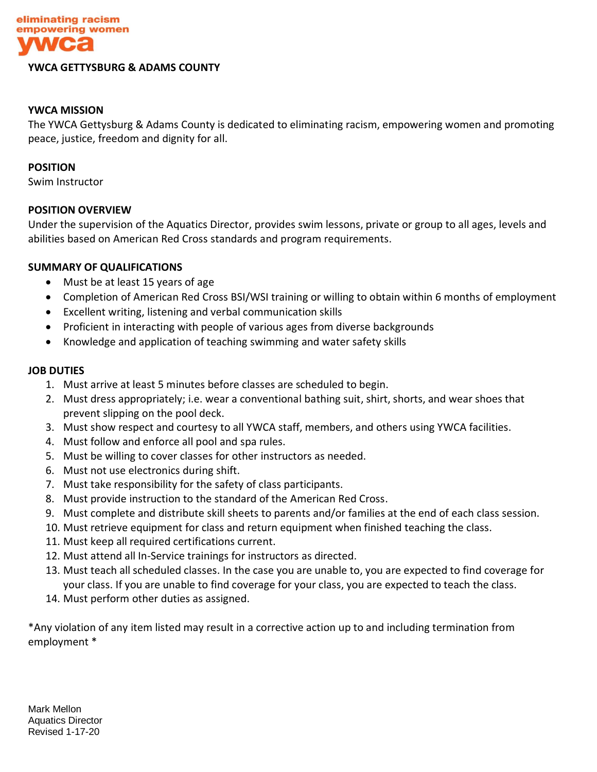

#### **YWCA GETTYSBURG & ADAMS COUNTY**

# **YWCA MISSION**

The YWCA Gettysburg & Adams County is dedicated to eliminating racism, empowering women and promoting peace, justice, freedom and dignity for all.

#### **POSITION**

Swim Instructor

# **POSITION OVERVIEW**

Under the supervision of the Aquatics Director, provides swim lessons, private or group to all ages, levels and abilities based on American Red Cross standards and program requirements.

# **SUMMARY OF QUALIFICATIONS**

- Must be at least 15 years of age
- Completion of American Red Cross BSI/WSI training or willing to obtain within 6 months of employment
- Excellent writing, listening and verbal communication skills
- Proficient in interacting with people of various ages from diverse backgrounds
- Knowledge and application of teaching swimming and water safety skills

#### **JOB DUTIES**

- 1. Must arrive at least 5 minutes before classes are scheduled to begin.
- 2. Must dress appropriately; i.e. wear a conventional bathing suit, shirt, shorts, and wear shoes that prevent slipping on the pool deck.
- 3. Must show respect and courtesy to all YWCA staff, members, and others using YWCA facilities.
- 4. Must follow and enforce all pool and spa rules.
- 5. Must be willing to cover classes for other instructors as needed.
- 6. Must not use electronics during shift.
- 7. Must take responsibility for the safety of class participants.
- 8. Must provide instruction to the standard of the American Red Cross.
- 9. Must complete and distribute skill sheets to parents and/or families at the end of each class session.
- 10. Must retrieve equipment for class and return equipment when finished teaching the class.
- 11. Must keep all required certifications current.
- 12. Must attend all In-Service trainings for instructors as directed.
- 13. Must teach all scheduled classes. In the case you are unable to, you are expected to find coverage for your class. If you are unable to find coverage for your class, you are expected to teach the class.
- 14. Must perform other duties as assigned.

\*Any violation of any item listed may result in a corrective action up to and including termination from employment \*